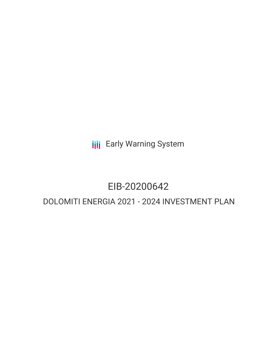**III** Early Warning System

# EIB-20200642

# DOLOMITI ENERGIA 2021 - 2024 INVESTMENT PLAN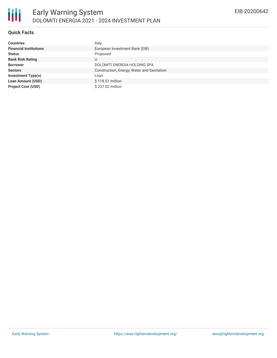## **Quick Facts**

| <b>Countries</b>              | Italy                                      |
|-------------------------------|--------------------------------------------|
| <b>Financial Institutions</b> | European Investment Bank (EIB)             |
| <b>Status</b>                 | Proposed                                   |
| <b>Bank Risk Rating</b>       |                                            |
| <b>Borrower</b>               | DOLOMITI ENERGIA HOLDING SPA               |
| <b>Sectors</b>                | Construction, Energy, Water and Sanitation |
| <b>Investment Type(s)</b>     | Loan                                       |
| <b>Loan Amount (USD)</b>      | \$118.51 million                           |
| <b>Project Cost (USD)</b>     | \$237.02 million                           |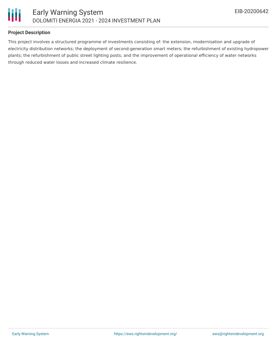

#### **Project Description**

This project involves a structured programme of investments consisting of: the extension, modernisation and upgrade of electricity distribution networks; the deployment of second-generation smart meters; the refurbishment of existing hydropower plants; the refurbishment of public street lighting posts; and the improvement of operational efficiency of water networks through reduced water losses and increased climate resilience.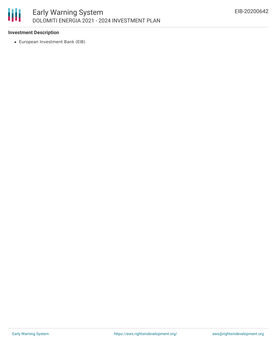### 朋 Early Warning System DOLOMITI ENERGIA 2021 - 2024 INVESTMENT PLAN

#### **Investment Description**

European Investment Bank (EIB)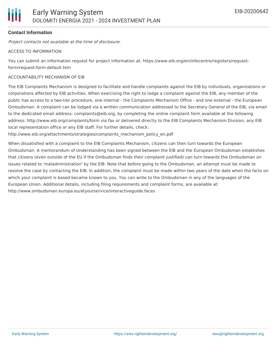#### **Contact Information**

Project contacts not available at the time of disclosure.

#### ACCESS TO INFORMATION

You can submit an information request for project information at: https://www.eib.org/en/infocentre/registers/requestform/request-form-default.htm

#### ACCOUNTABILITY MECHANISM OF EIB

The EIB Complaints Mechanism is designed to facilitate and handle complaints against the EIB by individuals, organizations or corporations affected by EIB activities. When exercising the right to lodge a complaint against the EIB, any member of the public has access to a two-tier procedure, one internal - the Complaints Mechanism Office - and one external - the European Ombudsman. A complaint can be lodged via a written communication addressed to the Secretary General of the EIB, via email to the dedicated email address: complaints@eib.org, by completing the online complaint form available at the following address: http://www.eib.org/complaints/form via fax or delivered directly to the EIB Complaints Mechanism Division, any EIB local representation office or any EIB staff. For further details, check:

http://www.eib.org/attachments/strategies/complaints\_mechanism\_policy\_en.pdf

When dissatisfied with a complaint to the EIB Complaints Mechanism, citizens can then turn towards the European Ombudsman. A memorandum of Understanding has been signed between the EIB and the European Ombudsman establishes that citizens (even outside of the EU if the Ombudsman finds their complaint justified) can turn towards the Ombudsman on issues related to 'maladministration' by the EIB. Note that before going to the Ombudsman, an attempt must be made to resolve the case by contacting the EIB. In addition, the complaint must be made within two years of the date when the facts on which your complaint is based became known to you. You can write to the Ombudsman in any of the languages of the European Union. Additional details, including filing requirements and complaint forms, are available at: http://www.ombudsman.europa.eu/atyourservice/interactiveguide.faces